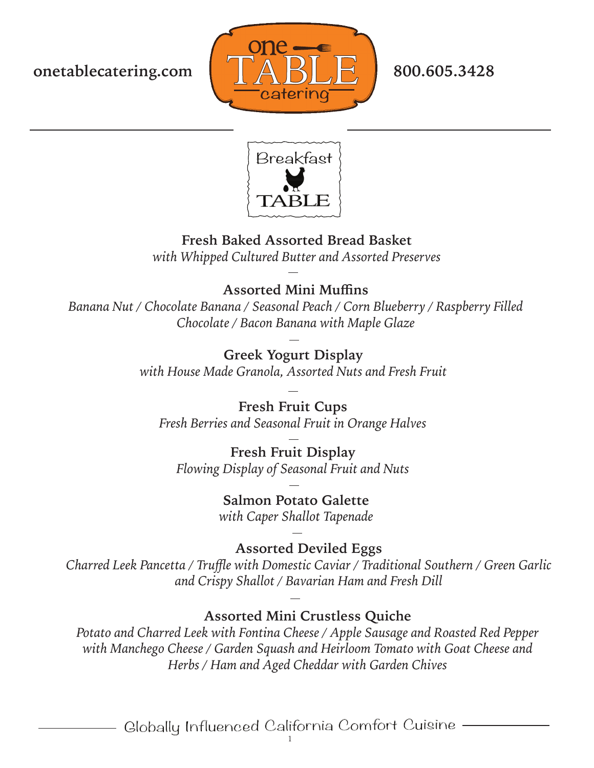



## **Fresh Baked Assorted Bread Basket**

*with Whipped Cultured Butter and Assorted Preserves*

## **Assorted Mini Muffins**

*Banana Nut / Chocolate Banana / Seasonal Peach / Corn Blueberry / Raspberry Filled Chocolate / Bacon Banana with Maple Glaze*

# **Greek Yogurt Display**

*with House Made Granola, Assorted Nuts and Fresh Fruit*

### **Fresh Fruit Cups**

*Fresh Berries and Seasonal Fruit in Orange Halves*

#### **Fresh Fruit Display** *Flowing Display of Seasonal Fruit and Nuts*

**Salmon Potato Galette** *with Caper Shallot Tapenade*

**Assorted Deviled Eggs** *Charred Leek Pancetta / Truffle with Domestic Caviar / Traditional Southern / Green Garlic and Crispy Shallot / Bavarian Ham and Fresh Dill*

## **Assorted Mini Crustless Quiche**

*Potato and Charred Leek with Fontina Cheese / Apple Sausage and Roasted Red Pepper with Manchego Cheese / Garden Squash and Heirloom Tomato with Goat Cheese and Herbs / Ham and Aged Cheddar with Garden Chives*